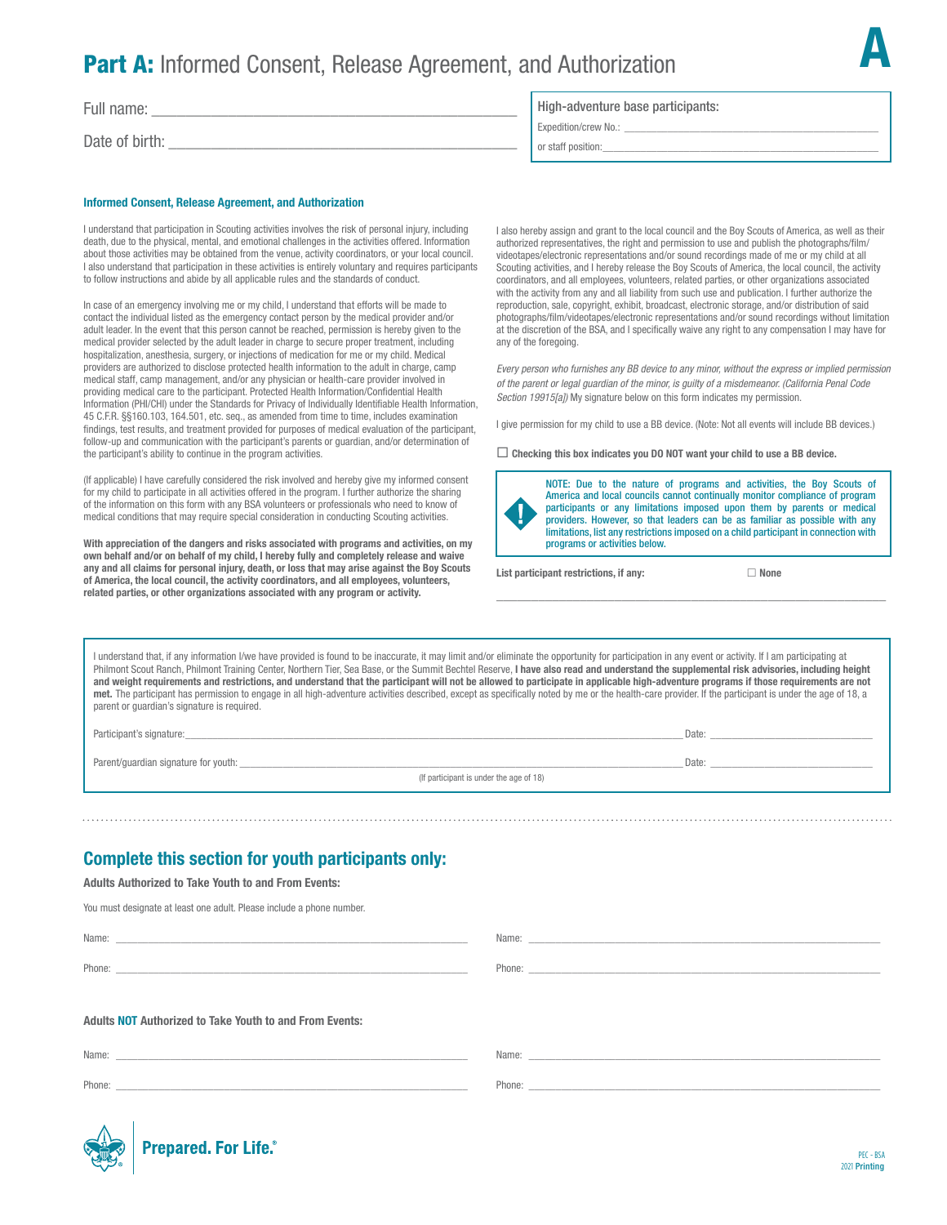# **Part A:** Informed Consent, Release Agreement, and Authorization

Full name:

Date of birth:

#### Informed Consent, Release Agreement, and Authorization

I understand that participation in Scouting activities involves the risk of personal injury, including death, due to the physical, mental, and emotional challenges in the activities offered. Information about those activities may be obtained from the venue, activity coordinators, or your local council. I also understand that participation in these activities is entirely voluntary and requires participants to follow instructions and abide by all applicable rules and the standards of conduct.

In case of an emergency involving me or my child, I understand that efforts will be made to contact the individual listed as the emergency contact person by the medical provider and/or adult leader. In the event that this person cannot be reached, permission is hereby given to the medical provider selected by the adult leader in charge to secure proper treatment, including hospitalization, anesthesia, surgery, or injections of medication for me or my child. Medical providers are authorized to disclose protected health information to the adult in charge, camp medical staff, camp management, and/or any physician or health-care provider involved in providing medical care to the participant. Protected Health Information/Confidential Health Information (PHI/CHI) under the Standards for Privacy of Individually Identifiable Health Information, 45 C.F.R. §§160.103, 164.501, etc. seq., as amended from time to time, includes examination findings, test results, and treatment provided for purposes of medical evaluation of the participant, follow-up and communication with the participant's parents or guardian, and/or determination of the participant's ability to continue in the program activities.

(If applicable) I have carefully considered the risk involved and hereby give my informed consent for my child to participate in all activities offered in the program. I further authorize the sharing of the information on this form with any BSA volunteers or professionals who need to know of medical conditions that may require special consideration in conducting Scouting activities.

With appreciation of the dangers and risks associated with programs and activities, on my own behalf and/or on behalf of my child, I hereby fully and completely release and waive any and all claims for personal injury, death, or loss that may arise against the Boy Scouts of America, the local council, the activity coordinators, and all employees, volunteers, related parties, or other organizations associated with any program or activity.

#### High-adventure base participants:

Expedition/crew No.: \_

or staff position:

I also hereby assign and grant to the local council and the Boy Scouts of America, as well as their authorized representatives, the right and permission to use and publish the photographs/film/ videotapes/electronic representations and/or sound recordings made of me or my child at all Scouting activities, and I hereby release the Boy Scouts of America, the local council, the activity coordinators, and all employees, volunteers, related parties, or other organizations associated with the activity from any and all liability from such use and publication. I further authorize the reproduction, sale, copyright, exhibit, broadcast, electronic storage, and/or distribution of said photographs/film/videotapes/electronic representations and/or sound recordings without limitation at the discretion of the BSA, and I specifically waive any right to any compensation I may have for any of the foregoing.

*Every person who furnishes any BB device to any minor, without the express or implied permission of the parent or legal guardian of the minor, is guilty of a misdemeanor. (California Penal Code Section 19915[a])* My signature below on this form indicates my permission.

I give permission for my child to use a BB device. (Note: Not all events will include BB devices.)

 $\Box$  Checking this box indicates you DO NOT want your child to use a BB device.



NOTE: Due to the nature of programs and activities, the Boy Scouts of America and local councils cannot continually monitor compliance of program participants or any limitations imposed upon them by parents or medical providers. However, so that leaders can be as familiar as possible with any limitations, list any restrictions imposed on a child participant in connection with programs or activities below.

\_\_\_\_\_\_\_\_\_\_\_\_\_\_\_\_\_\_\_\_\_\_\_\_\_\_\_\_\_\_\_\_\_\_\_\_\_\_\_\_\_\_\_\_\_\_\_\_\_\_\_\_\_\_\_\_

List participant restrictions, if any:  $\Box$  None

A

I understand that, if any information I/we have provided is found to be inaccurate, it may limit and/or eliminate the opportunity for participation in any event or activity. If I am participating at Philmont Scout Ranch, Philmont Training Center, Northern Tier, Sea Base, or the Summit Bechtel Reserve, I have also read and understand the supplemental risk advisories, including height and weight requirements and restrictions, and understand that the participant will not be allowed to participate in applicable high-adventure programs if those requirements are not met. The participant has permission to engage in all high-adventure activities described, except as specifically noted by me or the health-care provider. If the participant is under the age of 18, a parent or guardian's signature is required.

Participant's signature:\_\_\_\_\_\_\_\_\_\_\_\_\_\_\_\_\_\_\_\_\_\_\_\_\_\_\_\_\_\_\_\_\_\_\_\_\_\_\_\_\_\_\_\_\_\_\_\_\_\_\_\_\_\_\_\_\_\_\_\_\_\_\_\_\_\_\_\_\_\_\_\_\_\_\_\_\_\_\_\_\_\_\_\_\_\_\_\_\_\_\_\_ Date: \_\_\_\_\_\_\_\_\_\_\_\_\_\_\_\_\_\_\_\_\_\_\_\_\_\_\_\_\_\_

Parent/guardian signature for youth: \_\_\_\_\_\_\_\_\_\_\_\_\_\_\_\_\_\_\_\_\_\_\_\_\_\_\_\_\_\_\_\_\_\_\_\_\_\_\_\_\_\_\_\_\_\_\_\_\_\_\_\_\_\_\_\_\_\_\_\_\_\_\_\_\_\_\_\_\_\_\_\_\_\_\_\_\_\_\_\_\_\_ Date: \_\_\_\_\_\_\_\_\_\_\_\_\_\_\_\_\_\_\_\_\_\_\_\_\_\_\_\_\_\_

(If participant is under the age of 18)

## Complete this section for youth participants only:

Adults Authorized to Take Youth to and From Events:

You must designate at least one adult. Please include a phone number.

Adults NOT Authorized to Take Youth to and From Events: Name: Phone: \_\_\_\_\_\_\_\_\_\_\_\_\_\_\_\_\_\_\_\_\_\_\_\_\_\_\_\_\_\_\_\_\_\_\_\_\_\_\_\_\_\_\_\_\_\_\_\_\_\_\_\_\_\_\_\_\_\_\_\_\_\_\_\_\_ Name: Phone: \_\_\_\_\_\_\_\_\_\_\_\_\_\_\_\_\_\_\_\_\_\_\_\_\_\_\_\_\_\_\_\_\_\_\_\_\_\_\_\_\_\_\_\_\_\_\_\_\_\_\_\_\_\_\_\_\_\_\_\_\_\_\_\_\_ Name: \_\_ Name: \_\_

Phone:

Phone: \_\_\_\_\_\_\_\_\_\_\_\_\_\_\_\_\_\_\_\_\_\_\_\_\_\_\_\_\_\_\_\_\_\_\_\_\_\_\_\_\_\_\_\_\_\_\_\_\_\_\_\_\_\_\_\_\_\_\_\_\_\_\_\_\_



**Prepared. For Life.**<sup>®</sup>

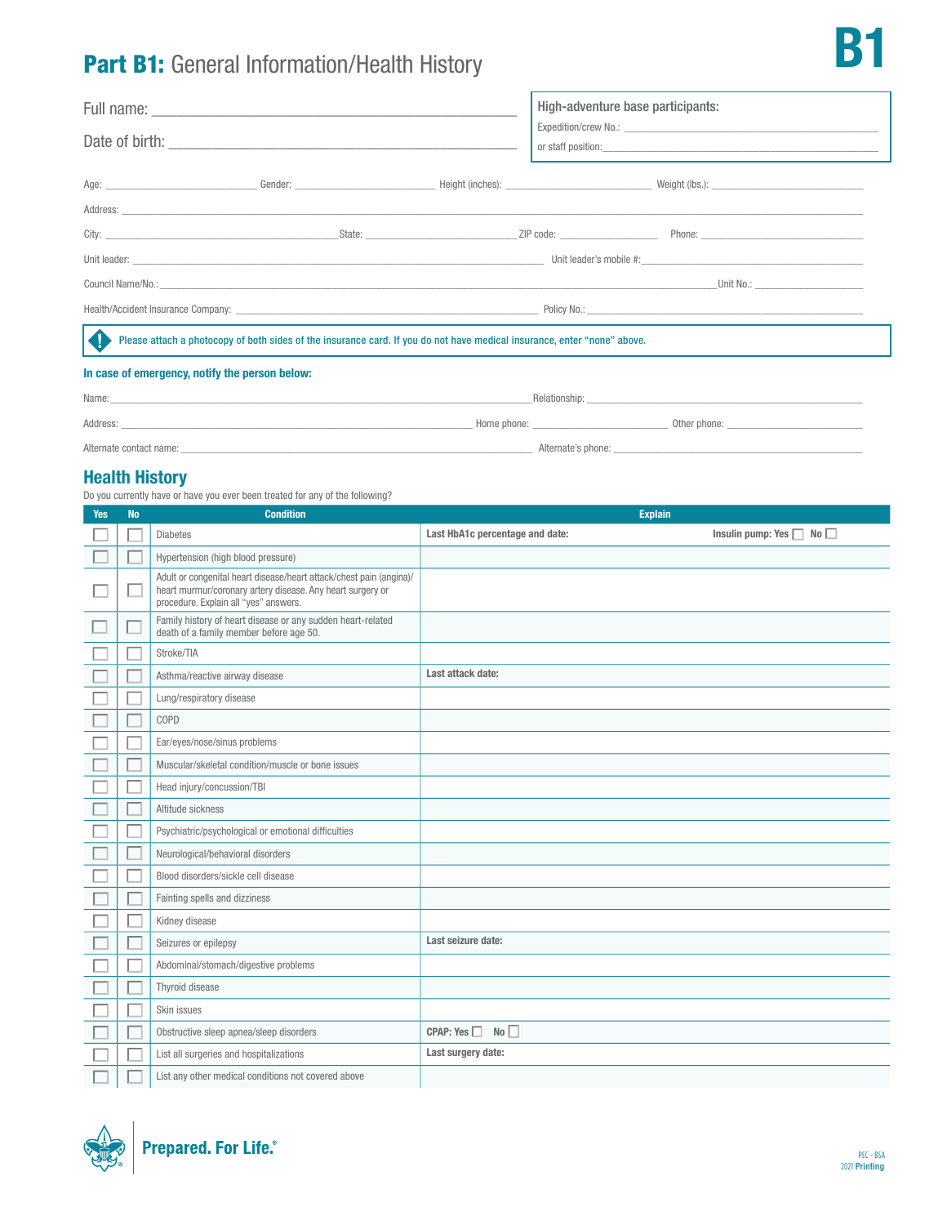# Part B1: General Information/Health History

|  | High-adventure base participants: |                                                                                                                                                                 |
|--|-----------------------------------|-----------------------------------------------------------------------------------------------------------------------------------------------------------------|
|  |                                   |                                                                                                                                                                 |
|  |                                   |                                                                                                                                                                 |
|  |                                   |                                                                                                                                                                 |
|  |                                   |                                                                                                                                                                 |
|  |                                   |                                                                                                                                                                 |
|  |                                   |                                                                                                                                                                 |
|  |                                   |                                                                                                                                                                 |
|  |                                   |                                                                                                                                                                 |
|  |                                   | Unit No.: _________________________<br>Please attach a photocopy of both sides of the insurance card. If you do not have medical insurance, enter "none" above. |

### In case of emergency, notify the person below:

| Name:                   | Relationship:      |                |
|-------------------------|--------------------|----------------|
| Address:                | Home phone:        | Other phone: _ |
| Alternate contact name: | Alternate's phone: |                |

### Health History

Do you currently have or have you ever been treated for any of the following?

| <b>Yes</b> | <b>No</b> | <b>Condition</b>                                                                                                                                                           | <b>Explain</b>                  |                                    |
|------------|-----------|----------------------------------------------------------------------------------------------------------------------------------------------------------------------------|---------------------------------|------------------------------------|
|            |           | <b>Diabetes</b>                                                                                                                                                            | Last HbA1c percentage and date: | Insulin pump: Yes $\Box$ No $\Box$ |
|            |           | Hypertension (high blood pressure)                                                                                                                                         |                                 |                                    |
|            |           | Adult or congenital heart disease/heart attack/chest pain (angina)/<br>heart murmur/coronary artery disease. Any heart surgery or<br>procedure. Explain all "yes" answers. |                                 |                                    |
|            |           | Family history of heart disease or any sudden heart-related<br>death of a family member before age 50.                                                                     |                                 |                                    |
|            |           | Stroke/TIA                                                                                                                                                                 |                                 |                                    |
|            |           | Asthma/reactive airway disease                                                                                                                                             | Last attack date:               |                                    |
|            |           | Lung/respiratory disease                                                                                                                                                   |                                 |                                    |
|            |           | COPD                                                                                                                                                                       |                                 |                                    |
|            |           | Ear/eyes/nose/sinus problems                                                                                                                                               |                                 |                                    |
|            |           | Muscular/skeletal condition/muscle or bone issues                                                                                                                          |                                 |                                    |
|            |           | Head injury/concussion/TBI                                                                                                                                                 |                                 |                                    |
|            |           | Altitude sickness                                                                                                                                                          |                                 |                                    |
|            |           | Psychiatric/psychological or emotional difficulties                                                                                                                        |                                 |                                    |
|            |           | Neurological/behavioral disorders                                                                                                                                          |                                 |                                    |
|            |           | Blood disorders/sickle cell disease                                                                                                                                        |                                 |                                    |
|            |           | Fainting spells and dizziness                                                                                                                                              |                                 |                                    |
|            |           | Kidney disease                                                                                                                                                             |                                 |                                    |
|            |           | Seizures or epilepsy                                                                                                                                                       | Last seizure date:              |                                    |
|            |           | Abdominal/stomach/digestive problems                                                                                                                                       |                                 |                                    |
|            |           | Thyroid disease                                                                                                                                                            |                                 |                                    |
|            |           | Skin issues                                                                                                                                                                |                                 |                                    |
|            |           | Obstructive sleep apnea/sleep disorders                                                                                                                                    | CPAP: Yes<br>No                 |                                    |
|            |           | List all surgeries and hospitalizations                                                                                                                                    | Last surgery date:              |                                    |
|            |           | List any other medical conditions not covered above                                                                                                                        |                                 |                                    |



**P**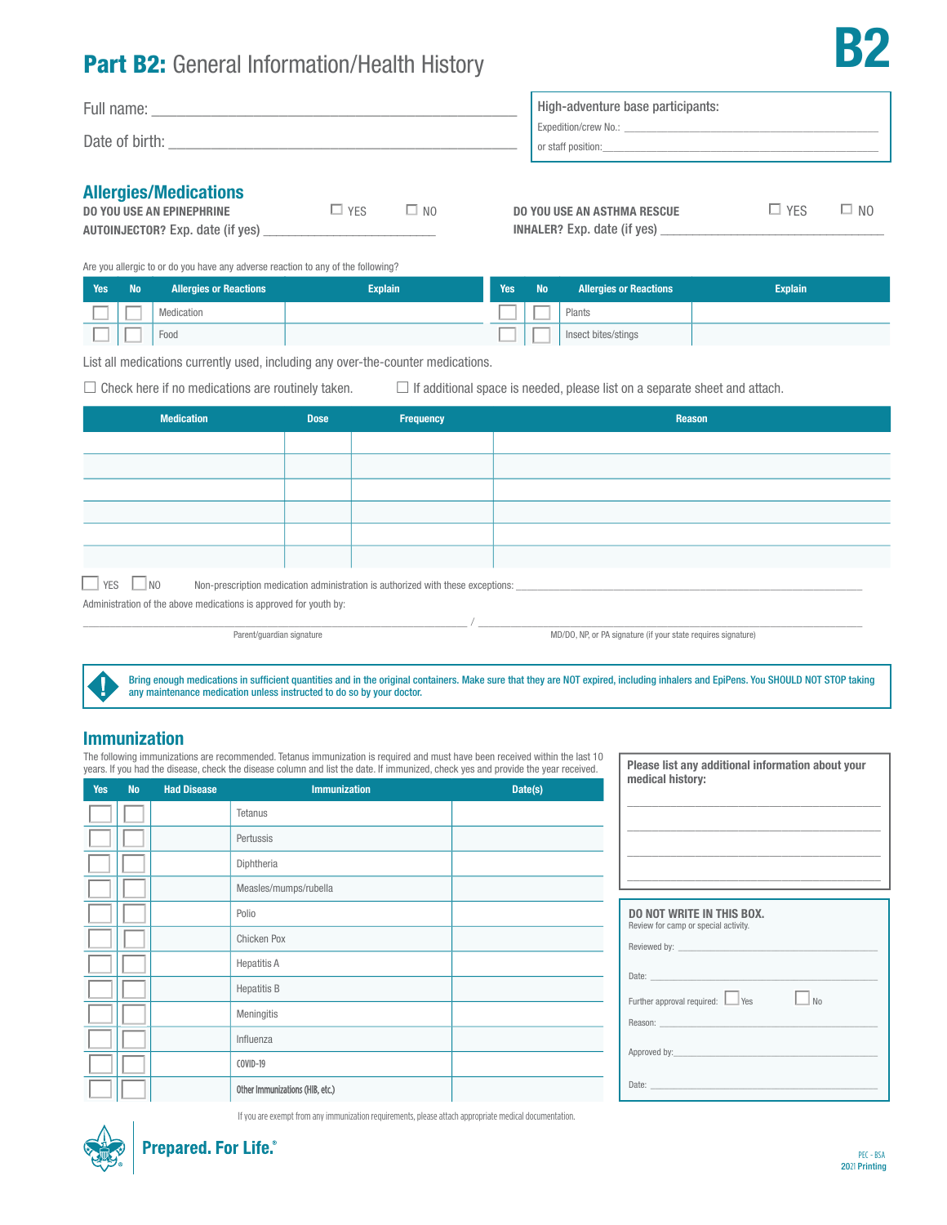# Part B2: General Information/Health History

| Full name:<br>Date of birth: | High-adventure base participants:<br>Expedition/crew No.:<br>or staff position: |
|------------------------------|---------------------------------------------------------------------------------|
| Allougico (Modicatione       |                                                                                 |

### Allergies/Medications

| <b>DO YOU USE AN EPINEPHRINE</b>        | $\Box$ YFS | $\square$ NO |
|-----------------------------------------|------------|--------------|
| <b>AUTOINJECTOR?</b> Exp. date (if yes) |            |              |

| <b>DO YOU USE AN ASTHMA RESCUE</b> | $\Box$ YFS | $\square$ NO |
|------------------------------------|------------|--------------|
| <b>INHALER?</b> Exp. date (if yes) |            |              |

B2

Are you allergic to or do you have any adverse reaction to any of the following?

| <b>Yes</b> | <b>No</b> | <b>Allergies or Reactions</b> | <b>Explain</b> | Yes | <b>No</b> | <b>Allergies or Reactions</b> | <b>Explain</b> |
|------------|-----------|-------------------------------|----------------|-----|-----------|-------------------------------|----------------|
|            |           | Medication                    |                |     |           | Plants                        |                |
|            |           | Food                          |                |     |           | Insect bites/stings           |                |

List all medications currently used, including any over-the-counter medications.

 $\Box$  Check here if no medications are routinely taken.  $\Box$  If additional space is needed, please list on a separate sheet and attach.

| <b>Medication</b>                                                 | <b>Dose</b> | Frequency                                                                                           | Reason |
|-------------------------------------------------------------------|-------------|-----------------------------------------------------------------------------------------------------|--------|
|                                                                   |             |                                                                                                     |        |
|                                                                   |             |                                                                                                     |        |
|                                                                   |             |                                                                                                     |        |
|                                                                   |             |                                                                                                     |        |
|                                                                   |             |                                                                                                     |        |
|                                                                   |             |                                                                                                     |        |
| $\Box$ YES $\Box$ NO                                              |             | Non-prescription medication administration is authorized with these exceptions: ___________________ |        |
| Administration of the above medications is approved for youth by: |             |                                                                                                     |        |

, which is the contribution of the contribution of  $\mathcal{N}_{\rm{max}}$  ,  $\mathcal{N}_{\rm{max}}$  ,  $\mathcal{N}_{\rm{max}}$ 

Parent/guardian signature MD/DO, NP, or PA signature (if your state requires signature)

Approved by:

Bring enough medications in sufficient quantities and in the original containers. Make sure that they are NOT expired, including inhalers and EpiPens. You SHOULD NOT STOP taking any maintenance medication unless instructed to do so by your doctor.

### Immunization

The following immunizations are recommended. Tetanus immunization is required and must have been received within the last 10 years. If you had the disease, check the disease column and list the date. If immunized, check yes and provide the year received.

| <b>Yes</b> | <b>No</b> | <b>Had Disease</b> | <b>Immunization</b>             | Date(s) |
|------------|-----------|--------------------|---------------------------------|---------|
|            |           |                    | Tetanus                         |         |
|            |           |                    | Pertussis                       |         |
|            |           |                    | Diphtheria                      |         |
|            |           |                    | Measles/mumps/rubella           |         |
|            |           |                    | Polio                           |         |
|            |           |                    | Chicken Pox                     |         |
|            |           |                    | <b>Hepatitis A</b>              |         |
|            |           |                    | <b>Hepatitis B</b>              |         |
|            |           |                    | Meningitis                      |         |
|            |           |                    | Influenza                       |         |
|            |           |                    | COVID-19                        |         |
|            |           |                    | Other Immunizations (HIB, etc.) |         |

| medical history:                                                                                                                                                                                                                                                        |                         |
|-------------------------------------------------------------------------------------------------------------------------------------------------------------------------------------------------------------------------------------------------------------------------|-------------------------|
|                                                                                                                                                                                                                                                                         |                         |
|                                                                                                                                                                                                                                                                         |                         |
|                                                                                                                                                                                                                                                                         |                         |
|                                                                                                                                                                                                                                                                         |                         |
| the control of the control of the control of the control of the control of the control of the control of the control of the control of the control of the control of the control of the control of the control of the control<br>the control of the control of the con- |                         |
| <b>DO NOT WRITE IN THIS BOX.</b><br>Review for camp or special activity.                                                                                                                                                                                                |                         |
| Reviewed by: The contract of the contract of the contract of the contract of the contract of the contract of the contract of the contract of the contract of the contract of the contract of the contract of the contract of t                                          |                         |
|                                                                                                                                                                                                                                                                         |                         |
| Date: <u>________________________________</u>                                                                                                                                                                                                                           |                         |
| Further approval required: Ves                                                                                                                                                                                                                                          | $\overline{\mathsf{N}}$ |

Date: \_\_\_\_\_\_\_\_\_\_\_\_\_\_\_\_\_\_\_\_\_\_\_\_\_\_\_\_\_\_\_\_\_\_\_\_\_\_\_\_\_\_\_\_\_\_\_\_\_

Please list any additional information about your

If you are exempt from any immunization requirements, please attach appropriate medical documentation.